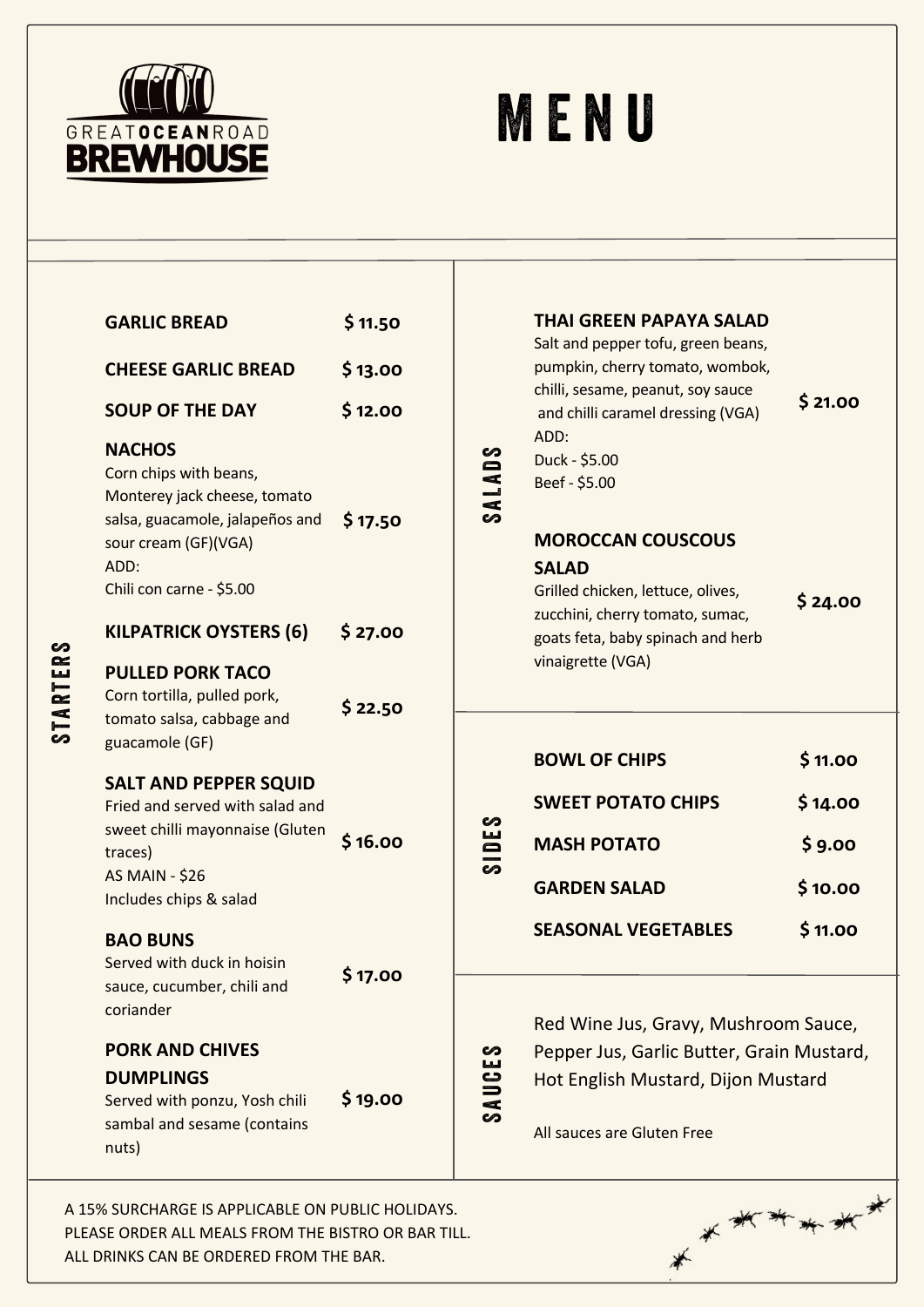

S T A R T E R S

## **MENU**

| <b>PORK AND CHIVES</b><br><b>DUMPLINGS</b><br>Served with ponzu, Yosh chili<br>sambal and sesame (contains<br>nuts)                                              | \$19.00            | ဟ<br>SAUCE    | Red Wine Jus, Gravy, Mushroom Sauce,<br>Pepper Jus, Garlic Butter, Grain Mustard,<br>Hot English Mustard, Dijon Mustard<br>All sauces are Gluten Free |                              |
|------------------------------------------------------------------------------------------------------------------------------------------------------------------|--------------------|---------------|-------------------------------------------------------------------------------------------------------------------------------------------------------|------------------------------|
| <b>BAO BUNS</b><br>Served with duck in hoisin<br>sauce, cucumber, chili and<br>coriander                                                                         | \$17.00            |               | <b>SEASONAL VEGETABLES</b>                                                                                                                            | \$11.00                      |
| <b>SALT AND PEPPER SQUID</b><br>Fried and served with salad and<br>sweet chilli mayonnaise (Gluten<br>traces)<br><b>AS MAIN - \$26</b><br>Includes chips & salad | \$16.00            | ທ<br>٣<br>ശ   | <b>SWEET POTATO CHIPS</b><br><b>MASH POTATO</b><br><b>GARDEN SALAD</b>                                                                                | \$14.00<br>\$9.00<br>\$10.00 |
| Corn tortilla, pulled pork,<br>tomato salsa, cabbage and<br>guacamole (GF)                                                                                       | \$22.50            |               | <b>BOWL OF CHIPS</b>                                                                                                                                  | \$11.00                      |
| <b>KILPATRICK OYSTERS (6)</b><br><b>PULLED PORK TACO</b>                                                                                                         | \$27.00            |               | goats feta, baby spinach and herb<br>vinaigrette (VGA)                                                                                                |                              |
| sour cream (GF)(VGA)<br>ADD:<br>Chili con carne - \$5.00                                                                                                         |                    |               | <b>MOROCCAN COUSCOUS</b><br><b>SALAD</b><br>Grilled chicken, lettuce, olives,<br>zucchini, cherry tomato, sumac,                                      | \$24.00                      |
| <b>NACHOS</b><br>Corn chips with beans,<br>Monterey jack cheese, tomato<br>salsa, guacamole, jalapeños and                                                       | \$17.50            | <b>SALADS</b> | ADD:<br>Duck - \$5.00<br>Beef - \$5.00                                                                                                                |                              |
| <b>SOUP OF THE DAY</b>                                                                                                                                           | \$12.00            |               | chilli, sesame, peanut, soy sauce<br>and chilli caramel dressing (VGA)                                                                                | \$21.00                      |
| <b>CHEESE GARLIC BREAD</b>                                                                                                                                       | \$11.50<br>\$13.00 |               | <b>THAI GREEN PAPAYA SALAD</b><br>Salt and pepper tofu, green beans,<br>pumpkin, cherry tomato, wombok,                                               |                              |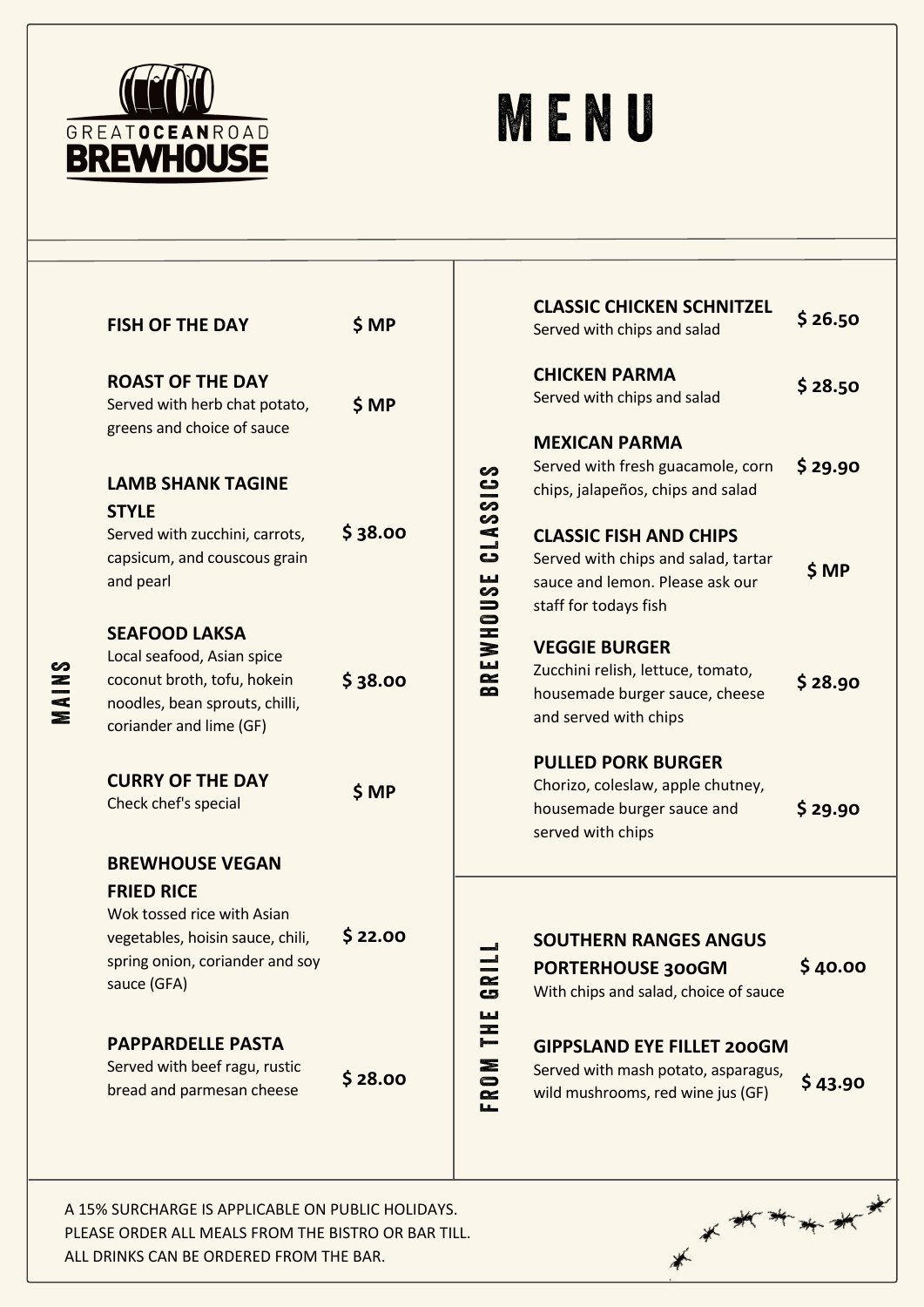

## **MENU**

|           | <b>FISH OF THE DAY</b>                                                                                                                   | \$MP                        |                                                                                                                                                                                                                                                                                                                                                                                                                                                    | <b>CLASSIC CHICKEN SCHNITZEL</b><br>Served with chips and salad                                                                                                        | \$26.50          |
|-----------|------------------------------------------------------------------------------------------------------------------------------------------|-----------------------------|----------------------------------------------------------------------------------------------------------------------------------------------------------------------------------------------------------------------------------------------------------------------------------------------------------------------------------------------------------------------------------------------------------------------------------------------------|------------------------------------------------------------------------------------------------------------------------------------------------------------------------|------------------|
|           | <b>ROAST OF THE DAY</b><br>Served with herb chat potato,                                                                                 | \$ MP                       |                                                                                                                                                                                                                                                                                                                                                                                                                                                    | <b>CHICKEN PARMA</b><br>Served with chips and salad                                                                                                                    | \$28.50          |
| ທ<br>EN E | greens and choice of sauce<br><b>LAMB SHANK TAGINE</b><br><b>STYLE</b><br>Served with zucchini, carrots,<br>capsicum, and couscous grain | \$38.00<br>\$38.00<br>\$ MP | <b>SOISSVI</b><br>ပ                                                                                                                                                                                                                                                                                                                                                                                                                                | <b>MEXICAN PARMA</b><br>Served with fresh guacamole, corn<br>chips, jalapeños, chips and salad<br><b>CLASSIC FISH AND CHIPS</b><br>Served with chips and salad, tartar | \$29.90<br>\$ MP |
|           | and pearl<br><b>SEAFOOD LAKSA</b><br>Local seafood, Asian spice<br>coconut broth, tofu, hokein                                           |                             | <u>မ</u> ္မ<br>BREWHOU                                                                                                                                                                                                                                                                                                                                                                                                                             | sauce and lemon. Please ask our<br>staff for todays fish<br><b>VEGGIE BURGER</b><br>Zucchini relish, lettuce, tomato,<br>housemade burger sauce, cheese                | \$28.90          |
|           | noodles, bean sprouts, chilli,<br>coriander and lime (GF)<br><b>CURRY OF THE DAY</b>                                                     |                             |                                                                                                                                                                                                                                                                                                                                                                                                                                                    | and served with chips<br><b>PULLED PORK BURGER</b><br>Chorizo, coleslaw, apple chutney,                                                                                |                  |
|           | Check chef's special<br><b>BREWHOUSE VEGAN</b><br><b>FRIED RICE</b>                                                                      |                             |                                                                                                                                                                                                                                                                                                                                                                                                                                                    | housemade burger sauce and<br>served with chips                                                                                                                        | \$29.90          |
|           | Wok tossed rice with Asian<br>vegetables, hoisin sauce, chili,<br>spring onion, coriander and soy<br>sauce (GFA)                         | \$22.00                     | œ<br>$\mathbf{c}$<br>لىنا                                                                                                                                                                                                                                                                                                                                                                                                                          | <b>SOUTHERN RANGES ANGUS</b><br>PORTERHOUSE 300GM<br>With chips and salad, choice of sauce                                                                             | \$40.00          |
|           | <b>PAPPARDELLE PASTA</b><br>Served with beef ragu, rustic<br>bread and parmesan cheese                                                   | \$28.00                     | H<br>$\begin{array}{ccc}\n\frac{1}{2} & \frac{1}{2} & \frac{1}{2} & \frac{1}{2} & \frac{1}{2} & \frac{1}{2} & \frac{1}{2} & \frac{1}{2} & \frac{1}{2} & \frac{1}{2} & \frac{1}{2} & \frac{1}{2} & \frac{1}{2} & \frac{1}{2} & \frac{1}{2} & \frac{1}{2} & \frac{1}{2} & \frac{1}{2} & \frac{1}{2} & \frac{1}{2} & \frac{1}{2} & \frac{1}{2} & \frac{1}{2} & \frac{1}{2} & \frac{1}{2} & \frac{1}{2} & \frac{1$<br>$\mathbf{S}$<br>$\simeq$<br>صاحا | <b>GIPPSLAND EYE FILLET 200GM</b><br>Served with mash potato, asparagus,<br>wild mushrooms, red wine jus (GF)                                                          | \$43.90          |
|           | A 15% SURCHARGE IS APPLICABLE ON PUBLIC HOLIDAYS.                                                                                        |                             |                                                                                                                                                                                                                                                                                                                                                                                                                                                    | ******                                                                                                                                                                 |                  |

 $*$ 

PLEASE ORDER ALL MEALS FROM THE BISTRO OR BAR TILL. ALL DRINKS CAN BE ORDERED FROM THE BAR.